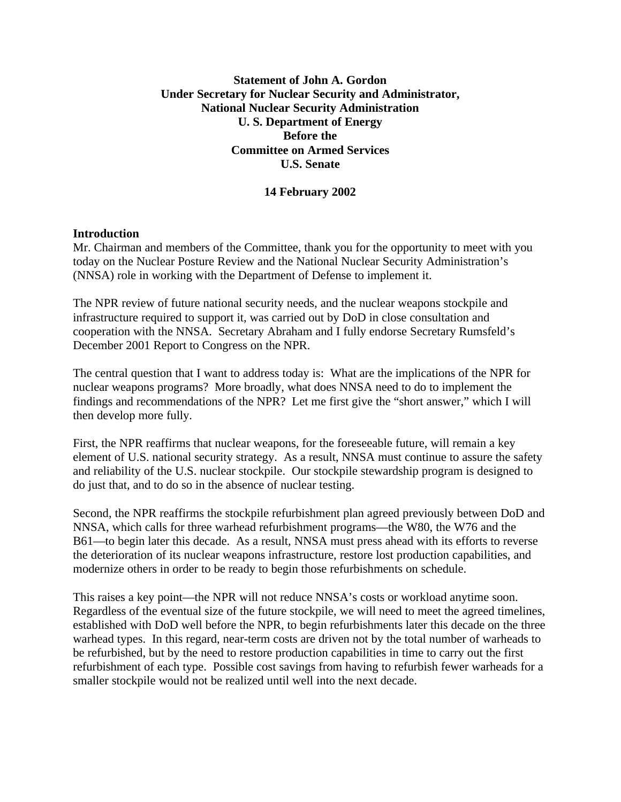## **Statement of John A. Gordon Under Secretary for Nuclear Security and Administrator, National Nuclear Security Administration U. S. Department of Energy Before the Committee on Armed Services U.S. Senate**

## **14 February 2002**

### **Introduction**

Mr. Chairman and members of the Committee, thank you for the opportunity to meet with you today on the Nuclear Posture Review and the National Nuclear Security Administration's (NNSA) role in working with the Department of Defense to implement it.

The NPR review of future national security needs, and the nuclear weapons stockpile and infrastructure required to support it, was carried out by DoD in close consultation and cooperation with the NNSA. Secretary Abraham and I fully endorse Secretary Rumsfeld's December 2001 Report to Congress on the NPR.

The central question that I want to address today is: What are the implications of the NPR for nuclear weapons programs? More broadly, what does NNSA need to do to implement the findings and recommendations of the NPR? Let me first give the "short answer," which I will then develop more fully.

First, the NPR reaffirms that nuclear weapons, for the foreseeable future, will remain a key element of U.S. national security strategy. As a result, NNSA must continue to assure the safety and reliability of the U.S. nuclear stockpile. Our stockpile stewardship program is designed to do just that, and to do so in the absence of nuclear testing.

Second, the NPR reaffirms the stockpile refurbishment plan agreed previously between DoD and NNSA, which calls for three warhead refurbishment programs—the W80, the W76 and the B61—to begin later this decade. As a result, NNSA must press ahead with its efforts to reverse the deterioration of its nuclear weapons infrastructure, restore lost production capabilities, and modernize others in order to be ready to begin those refurbishments on schedule.

This raises a key point—the NPR will not reduce NNSA's costs or workload anytime soon. Regardless of the eventual size of the future stockpile, we will need to meet the agreed timelines, established with DoD well before the NPR, to begin refurbishments later this decade on the three warhead types. In this regard, near-term costs are driven not by the total number of warheads to be refurbished, but by the need to restore production capabilities in time to carry out the first refurbishment of each type. Possible cost savings from having to refurbish fewer warheads for a smaller stockpile would not be realized until well into the next decade.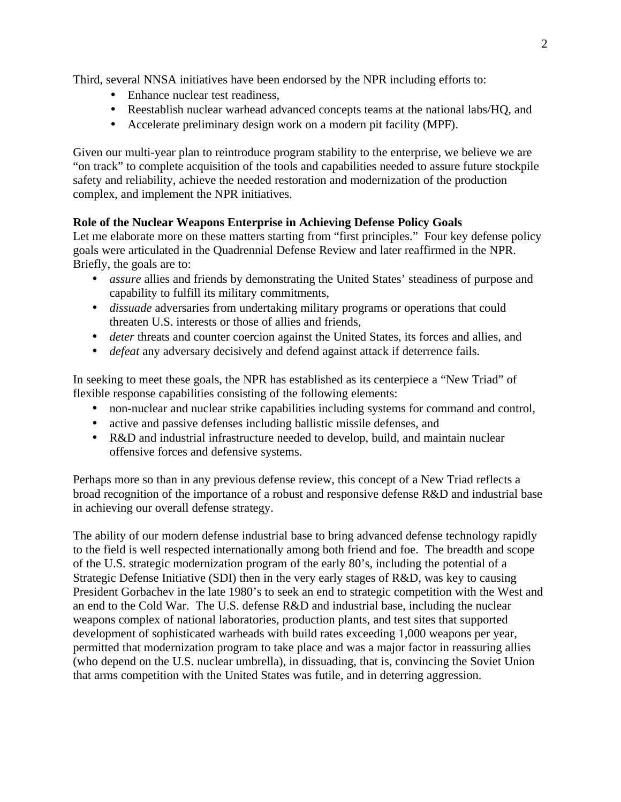Third, several NNSA initiatives have been endorsed by the NPR including efforts to:

- Enhance nuclear test readiness,
- Reestablish nuclear warhead advanced concepts teams at the national labs/HQ, and
- Accelerate preliminary design work on a modern pit facility (MPF).

Given our multi-year plan to reintroduce program stability to the enterprise, we believe we are "on track" to complete acquisition of the tools and capabilities needed to assure future stockpile safety and reliability, achieve the needed restoration and modernization of the production complex, and implement the NPR initiatives.

# **Role of the Nuclear Weapons Enterprise in Achieving Defense Policy Goals**

Let me elaborate more on these matters starting from "first principles." Four key defense policy goals were articulated in the Quadrennial Defense Review and later reaffirmed in the NPR. Briefly, the goals are to:

- *assure* allies and friends by demonstrating the United States' steadiness of purpose and capability to fulfill its military commitments,
- *dissuade* adversaries from undertaking military programs or operations that could threaten U.S. interests or those of allies and friends,
- *deter threats and counter coercion against the United States, its forces and allies, and*
- *defeat* any adversary decisively and defend against attack if deterrence fails.

In seeking to meet these goals, the NPR has established as its centerpiece a "New Triad" of flexible response capabilities consisting of the following elements:

- non-nuclear and nuclear strike capabilities including systems for command and control,
- active and passive defenses including ballistic missile defenses, and
- R&D and industrial infrastructure needed to develop, build, and maintain nuclear offensive forces and defensive systems.

Perhaps more so than in any previous defense review, this concept of a New Triad reflects a broad recognition of the importance of a robust and responsive defense R&D and industrial base in achieving our overall defense strategy.

The ability of our modern defense industrial base to bring advanced defense technology rapidly to the field is well respected internationally among both friend and foe. The breadth and scope of the U.S. strategic modernization program of the early 80's, including the potential of a Strategic Defense Initiative (SDI) then in the very early stages of R&D, was key to causing President Gorbachev in the late 1980's to seek an end to strategic competition with the West and an end to the Cold War. The U.S. defense R&D and industrial base, including the nuclear weapons complex of national laboratories, production plants, and test sites that supported development of sophisticated warheads with build rates exceeding 1,000 weapons per year, permitted that modernization program to take place and was a major factor in reassuring allies (who depend on the U.S. nuclear umbrella), in dissuading, that is, convincing the Soviet Union that arms competition with the United States was futile, and in deterring aggression.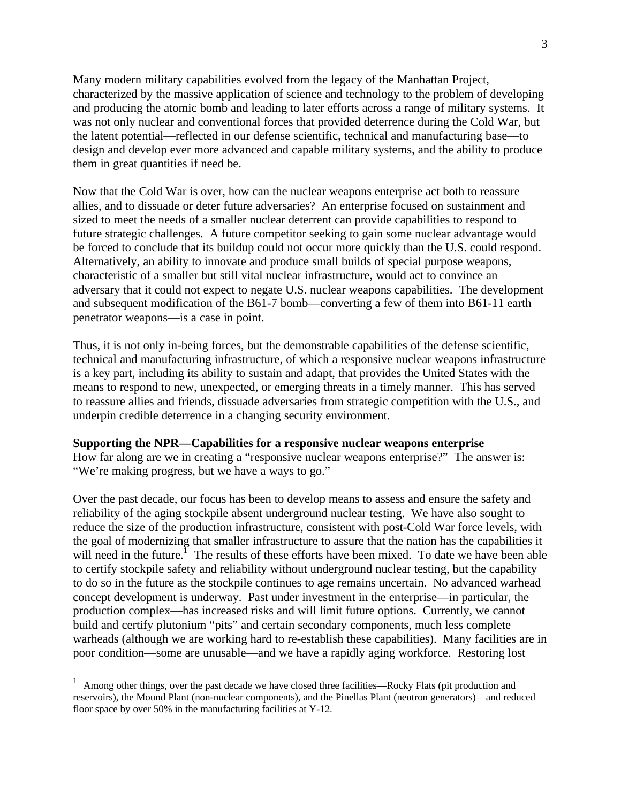Many modern military capabilities evolved from the legacy of the Manhattan Project, characterized by the massive application of science and technology to the problem of developing and producing the atomic bomb and leading to later efforts across a range of military systems. It was not only nuclear and conventional forces that provided deterrence during the Cold War, but the latent potential—reflected in our defense scientific, technical and manufacturing base—to design and develop ever more advanced and capable military systems, and the ability to produce them in great quantities if need be.

Now that the Cold War is over, how can the nuclear weapons enterprise act both to reassure allies, and to dissuade or deter future adversaries? An enterprise focused on sustainment and sized to meet the needs of a smaller nuclear deterrent can provide capabilities to respond to future strategic challenges. A future competitor seeking to gain some nuclear advantage would be forced to conclude that its buildup could not occur more quickly than the U.S. could respond. Alternatively, an ability to innovate and produce small builds of special purpose weapons, characteristic of a smaller but still vital nuclear infrastructure, would act to convince an adversary that it could not expect to negate U.S. nuclear weapons capabilities. The development and subsequent modification of the B61-7 bomb—converting a few of them into B61-11 earth penetrator weapons—is a case in point.

Thus, it is not only in-being forces, but the demonstrable capabilities of the defense scientific, technical and manufacturing infrastructure, of which a responsive nuclear weapons infrastructure is a key part, including its ability to sustain and adapt, that provides the United States with the means to respond to new, unexpected, or emerging threats in a timely manner. This has served to reassure allies and friends, dissuade adversaries from strategic competition with the U.S., and underpin credible deterrence in a changing security environment.

#### **Supporting the NPR—Capabilities for a responsive nuclear weapons enterprise**

How far along are we in creating a "responsive nuclear weapons enterprise?" The answer is: "We're making progress, but we have a ways to go."

Over the past decade, our focus has been to develop means to assess and ensure the safety and reliability of the aging stockpile absent underground nuclear testing. We have also sought to reduce the size of the production infrastructure, consistent with post-Cold War force levels, with the goal of modernizing that smaller infrastructure to assure that the nation has the capabilities it will need in the future.<sup> $\overline{1}$ </sup> The results of these efforts have been mixed. To date we have been able to certify stockpile safety and reliability without underground nuclear testing, but the capability to do so in the future as the stockpile continues to age remains uncertain. No advanced warhead concept development is underway. Past under investment in the enterprise—in particular, the production complex—has increased risks and will limit future options. Currently, we cannot build and certify plutonium "pits" and certain secondary components, much less complete warheads (although we are working hard to re-establish these capabilities). Many facilities are in poor condition—some are unusable—and we have a rapidly aging workforce. Restoring lost

<u>.</u>

<sup>1</sup> Among other things, over the past decade we have closed three facilities—Rocky Flats (pit production and reservoirs), the Mound Plant (non-nuclear components), and the Pinellas Plant (neutron generators)—and reduced floor space by over 50% in the manufacturing facilities at Y-12.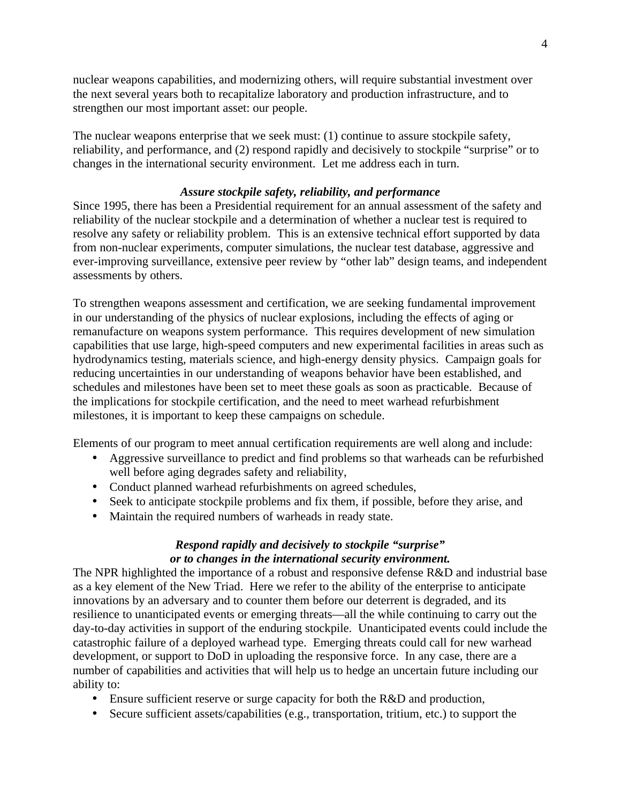nuclear weapons capabilities, and modernizing others, will require substantial investment over the next several years both to recapitalize laboratory and production infrastructure, and to strengthen our most important asset: our people.

The nuclear weapons enterprise that we seek must: (1) continue to assure stockpile safety, reliability, and performance, and (2) respond rapidly and decisively to stockpile "surprise" or to changes in the international security environment. Let me address each in turn.

## *Assure stockpile safety, reliability, and performance*

Since 1995, there has been a Presidential requirement for an annual assessment of the safety and reliability of the nuclear stockpile and a determination of whether a nuclear test is required to resolve any safety or reliability problem. This is an extensive technical effort supported by data from non-nuclear experiments, computer simulations, the nuclear test database, aggressive and ever-improving surveillance, extensive peer review by "other lab" design teams, and independent assessments by others.

To strengthen weapons assessment and certification, we are seeking fundamental improvement in our understanding of the physics of nuclear explosions, including the effects of aging or remanufacture on weapons system performance. This requires development of new simulation capabilities that use large, high-speed computers and new experimental facilities in areas such as hydrodynamics testing, materials science, and high-energy density physics. Campaign goals for reducing uncertainties in our understanding of weapons behavior have been established, and schedules and milestones have been set to meet these goals as soon as practicable. Because of the implications for stockpile certification, and the need to meet warhead refurbishment milestones, it is important to keep these campaigns on schedule.

Elements of our program to meet annual certification requirements are well along and include:

- Aggressive surveillance to predict and find problems so that warheads can be refurbished well before aging degrades safety and reliability,
- Conduct planned warhead refurbishments on agreed schedules,
- Seek to anticipate stockpile problems and fix them, if possible, before they arise, and
- Maintain the required numbers of warheads in ready state.

## *Respond rapidly and decisively to stockpile "surprise" or to changes in the international security environment.*

The NPR highlighted the importance of a robust and responsive defense R&D and industrial base as a key element of the New Triad. Here we refer to the ability of the enterprise to anticipate innovations by an adversary and to counter them before our deterrent is degraded, and its resilience to unanticipated events or emerging threats—all the while continuing to carry out the day-to-day activities in support of the enduring stockpile. Unanticipated events could include the catastrophic failure of a deployed warhead type. Emerging threats could call for new warhead development, or support to DoD in uploading the responsive force. In any case, there are a number of capabilities and activities that will help us to hedge an uncertain future including our ability to:

- Ensure sufficient reserve or surge capacity for both the R&D and production,
- Secure sufficient assets/capabilities (e.g., transportation, tritium, etc.) to support the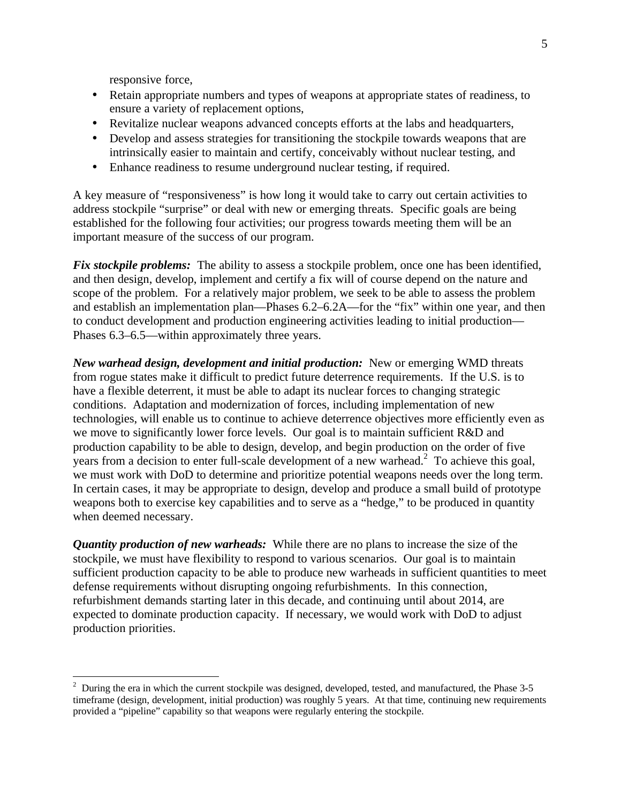responsive force,

- Retain appropriate numbers and types of weapons at appropriate states of readiness, to ensure a variety of replacement options,
- Revitalize nuclear weapons advanced concepts efforts at the labs and headquarters,
- Develop and assess strategies for transitioning the stockpile towards weapons that are intrinsically easier to maintain and certify, conceivably without nuclear testing, and
- Enhance readiness to resume underground nuclear testing, if required.

A key measure of "responsiveness" is how long it would take to carry out certain activities to address stockpile "surprise" or deal with new or emerging threats. Specific goals are being established for the following four activities; our progress towards meeting them will be an important measure of the success of our program.

*Fix stockpile problems:* The ability to assess a stockpile problem, once one has been identified, and then design, develop, implement and certify a fix will of course depend on the nature and scope of the problem. For a relatively major problem, we seek to be able to assess the problem and establish an implementation plan—Phases 6.2–6.2A—for the "fix" within one year, and then to conduct development and production engineering activities leading to initial production— Phases 6.3–6.5—within approximately three years.

*New warhead design, development and initial production:* New or emerging WMD threats from rogue states make it difficult to predict future deterrence requirements. If the U.S. is to have a flexible deterrent, it must be able to adapt its nuclear forces to changing strategic conditions. Adaptation and modernization of forces, including implementation of new technologies, will enable us to continue to achieve deterrence objectives more efficiently even as we move to significantly lower force levels. Our goal is to maintain sufficient R&D and production capability to be able to design, develop, and begin production on the order of five years from a decision to enter full-scale development of a new warhead.<sup>2</sup> To achieve this goal, we must work with DoD to determine and prioritize potential weapons needs over the long term. In certain cases, it may be appropriate to design, develop and produce a small build of prototype weapons both to exercise key capabilities and to serve as a "hedge," to be produced in quantity when deemed necessary.

*Quantity production of new warheads:* While there are no plans to increase the size of the stockpile, we must have flexibility to respond to various scenarios. Our goal is to maintain sufficient production capacity to be able to produce new warheads in sufficient quantities to meet defense requirements without disrupting ongoing refurbishments. In this connection, refurbishment demands starting later in this decade, and continuing until about 2014, are expected to dominate production capacity. If necessary, we would work with DoD to adjust production priorities.

 2 During the era in which the current stockpile was designed, developed, tested, and manufactured, the Phase 3**-**5 timeframe (design, development, initial production) was roughly 5 years. At that time, continuing new requirements provided a "pipeline" capability so that weapons were regularly entering the stockpile.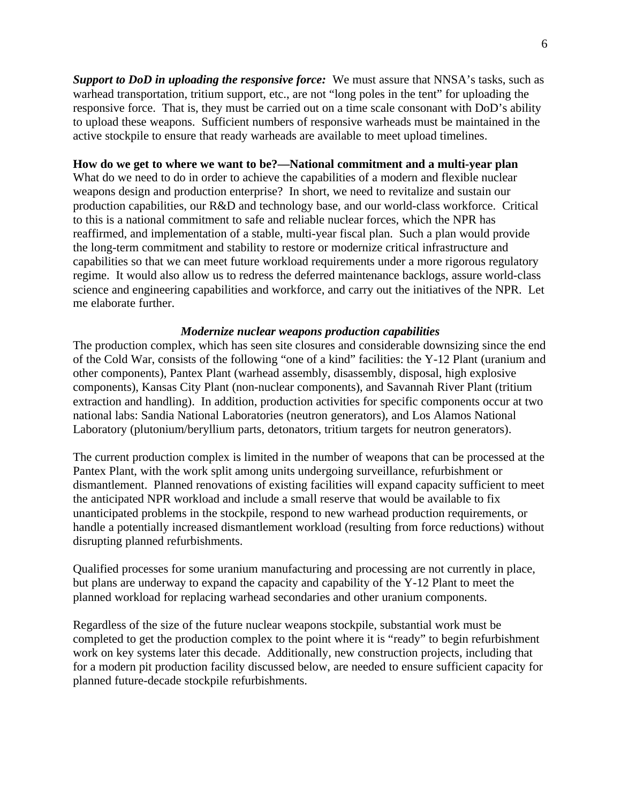*Support to DoD in uploading the responsive force:* We must assure that NNSA's tasks, such as warhead transportation, tritium support, etc., are not "long poles in the tent" for uploading the responsive force. That is, they must be carried out on a time scale consonant with DoD's ability to upload these weapons. Sufficient numbers of responsive warheads must be maintained in the active stockpile to ensure that ready warheads are available to meet upload timelines.

#### **How do we get to where we want to be?—National commitment and a multi-year plan**

What do we need to do in order to achieve the capabilities of a modern and flexible nuclear weapons design and production enterprise? In short, we need to revitalize and sustain our production capabilities, our R&D and technology base, and our world-class workforce. Critical to this is a national commitment to safe and reliable nuclear forces, which the NPR has reaffirmed, and implementation of a stable, multi-year fiscal plan. Such a plan would provide the long-term commitment and stability to restore or modernize critical infrastructure and capabilities so that we can meet future workload requirements under a more rigorous regulatory regime. It would also allow us to redress the deferred maintenance backlogs, assure world-class science and engineering capabilities and workforce, and carry out the initiatives of the NPR. Let me elaborate further.

#### *Modernize nuclear weapons production capabilities*

The production complex, which has seen site closures and considerable downsizing since the end of the Cold War, consists of the following "one of a kind" facilities: the Y-12 Plant (uranium and other components), Pantex Plant (warhead assembly, disassembly, disposal, high explosive components), Kansas City Plant (non-nuclear components), and Savannah River Plant (tritium extraction and handling). In addition, production activities for specific components occur at two national labs: Sandia National Laboratories (neutron generators), and Los Alamos National Laboratory (plutonium/beryllium parts, detonators, tritium targets for neutron generators).

The current production complex is limited in the number of weapons that can be processed at the Pantex Plant, with the work split among units undergoing surveillance, refurbishment or dismantlement. Planned renovations of existing facilities will expand capacity sufficient to meet the anticipated NPR workload and include a small reserve that would be available to fix unanticipated problems in the stockpile, respond to new warhead production requirements, or handle a potentially increased dismantlement workload (resulting from force reductions) without disrupting planned refurbishments.

Qualified processes for some uranium manufacturing and processing are not currently in place, but plans are underway to expand the capacity and capability of the Y-12 Plant to meet the planned workload for replacing warhead secondaries and other uranium components.

Regardless of the size of the future nuclear weapons stockpile, substantial work must be completed to get the production complex to the point where it is "ready" to begin refurbishment work on key systems later this decade. Additionally, new construction projects, including that for a modern pit production facility discussed below, are needed to ensure sufficient capacity for planned future-decade stockpile refurbishments.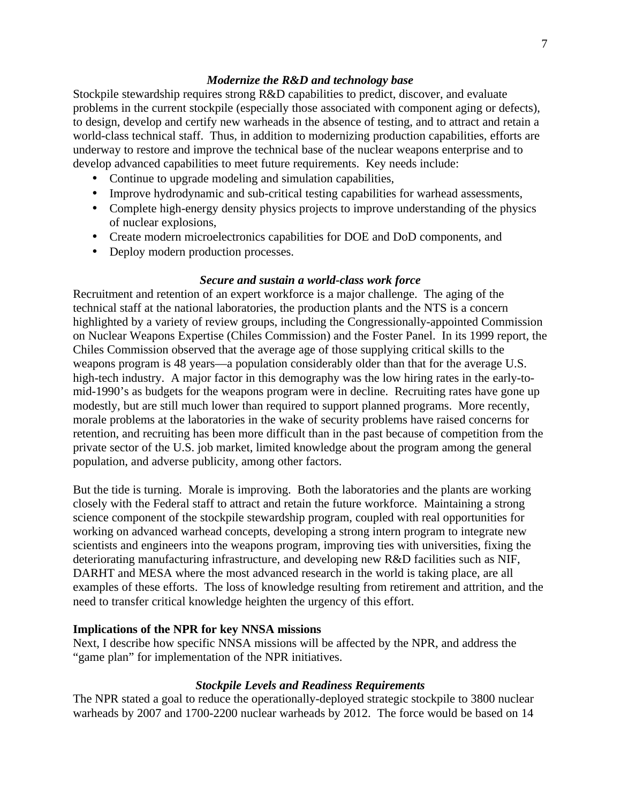### *Modernize the R&D and technology base*

Stockpile stewardship requires strong R&D capabilities to predict, discover, and evaluate problems in the current stockpile (especially those associated with component aging or defects), to design, develop and certify new warheads in the absence of testing, and to attract and retain a world-class technical staff. Thus, in addition to modernizing production capabilities, efforts are underway to restore and improve the technical base of the nuclear weapons enterprise and to develop advanced capabilities to meet future requirements. Key needs include:

- Continue to upgrade modeling and simulation capabilities,
- Improve hydrodynamic and sub-critical testing capabilities for warhead assessments,
- Complete high-energy density physics projects to improve understanding of the physics of nuclear explosions,
- Create modern microelectronics capabilities for DOE and DoD components, and
- Deploy modern production processes.

### *Secure and sustain a world-class work force*

Recruitment and retention of an expert workforce is a major challenge. The aging of the technical staff at the national laboratories, the production plants and the NTS is a concern highlighted by a variety of review groups, including the Congressionally-appointed Commission on Nuclear Weapons Expertise (Chiles Commission) and the Foster Panel. In its 1999 report, the Chiles Commission observed that the average age of those supplying critical skills to the weapons program is 48 years—a population considerably older than that for the average U.S. high-tech industry. A major factor in this demography was the low hiring rates in the early-tomid-1990's as budgets for the weapons program were in decline. Recruiting rates have gone up modestly, but are still much lower than required to support planned programs. More recently, morale problems at the laboratories in the wake of security problems have raised concerns for retention, and recruiting has been more difficult than in the past because of competition from the private sector of the U.S. job market, limited knowledge about the program among the general population, and adverse publicity, among other factors.

But the tide is turning. Morale is improving. Both the laboratories and the plants are working closely with the Federal staff to attract and retain the future workforce. Maintaining a strong science component of the stockpile stewardship program, coupled with real opportunities for working on advanced warhead concepts, developing a strong intern program to integrate new scientists and engineers into the weapons program, improving ties with universities, fixing the deteriorating manufacturing infrastructure, and developing new R&D facilities such as NIF, DARHT and MESA where the most advanced research in the world is taking place, are all examples of these efforts. The loss of knowledge resulting from retirement and attrition, and the need to transfer critical knowledge heighten the urgency of this effort.

### **Implications of the NPR for key NNSA missions**

Next, I describe how specific NNSA missions will be affected by the NPR, and address the "game plan" for implementation of the NPR initiatives.

### *Stockpile Levels and Readiness Requirements*

The NPR stated a goal to reduce the operationally-deployed strategic stockpile to 3800 nuclear warheads by 2007 and 1700-2200 nuclear warheads by 2012. The force would be based on 14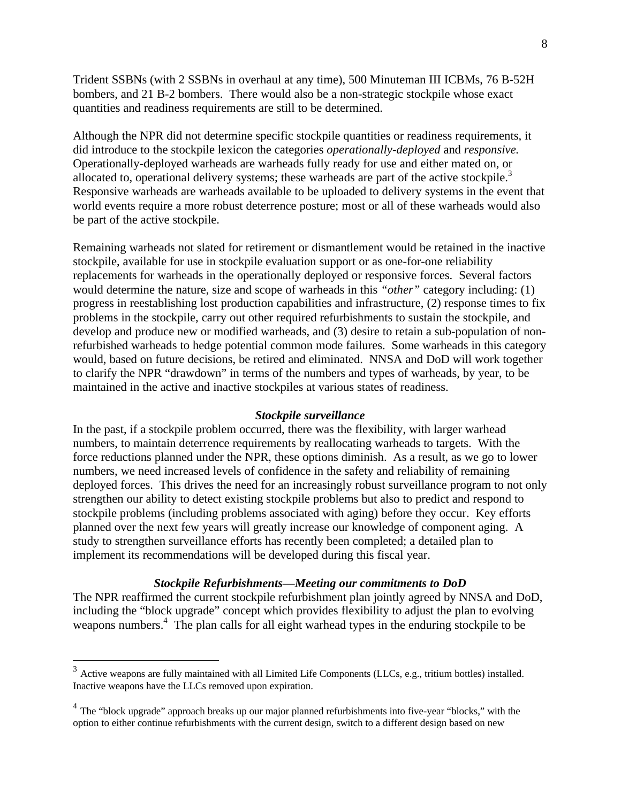Trident SSBNs (with 2 SSBNs in overhaul at any time), 500 Minuteman III ICBMs, 76 B-52H bombers, and 21 B-2 bombers. There would also be a non-strategic stockpile whose exact quantities and readiness requirements are still to be determined.

Although the NPR did not determine specific stockpile quantities or readiness requirements, it did introduce to the stockpile lexicon the categories *operationally-deployed* and *responsive.* Operationally-deployed warheads are warheads fully ready for use and either mated on, or allocated to, operational delivery systems; these warheads are part of the active stockpile.<sup>3</sup> Responsive warheads are warheads available to be uploaded to delivery systems in the event that world events require a more robust deterrence posture; most or all of these warheads would also be part of the active stockpile.

Remaining warheads not slated for retirement or dismantlement would be retained in the inactive stockpile, available for use in stockpile evaluation support or as one-for-one reliability replacements for warheads in the operationally deployed or responsive forces. Several factors would determine the nature, size and scope of warheads in this *"other"* category including: (1) progress in reestablishing lost production capabilities and infrastructure, (2) response times to fix problems in the stockpile, carry out other required refurbishments to sustain the stockpile, and develop and produce new or modified warheads, and (3) desire to retain a sub-population of nonrefurbished warheads to hedge potential common mode failures. Some warheads in this category would, based on future decisions, be retired and eliminated. NNSA and DoD will work together to clarify the NPR "drawdown" in terms of the numbers and types of warheads, by year, to be maintained in the active and inactive stockpiles at various states of readiness.

#### *Stockpile surveillance*

In the past, if a stockpile problem occurred, there was the flexibility, with larger warhead numbers, to maintain deterrence requirements by reallocating warheads to targets. With the force reductions planned under the NPR, these options diminish. As a result, as we go to lower numbers, we need increased levels of confidence in the safety and reliability of remaining deployed forces. This drives the need for an increasingly robust surveillance program to not only strengthen our ability to detect existing stockpile problems but also to predict and respond to stockpile problems (including problems associated with aging) before they occur. Key efforts planned over the next few years will greatly increase our knowledge of component aging. A study to strengthen surveillance efforts has recently been completed; a detailed plan to implement its recommendations will be developed during this fiscal year.

### *Stockpile Refurbishments—Meeting our commitments to DoD*

The NPR reaffirmed the current stockpile refurbishment plan jointly agreed by NNSA and DoD, including the "block upgrade" concept which provides flexibility to adjust the plan to evolving weapons numbers.<sup>4</sup> The plan calls for all eight warhead types in the enduring stockpile to be

<sup>&</sup>lt;sup>3</sup> Active weapons are fully maintained with all Limited Life Components (LLCs, e.g., tritium bottles) installed. Inactive weapons have the LLCs removed upon expiration.

 $4$  The "block upgrade" approach breaks up our major planned refurbishments into five-year "blocks," with the option to either continue refurbishments with the current design, switch to a different design based on new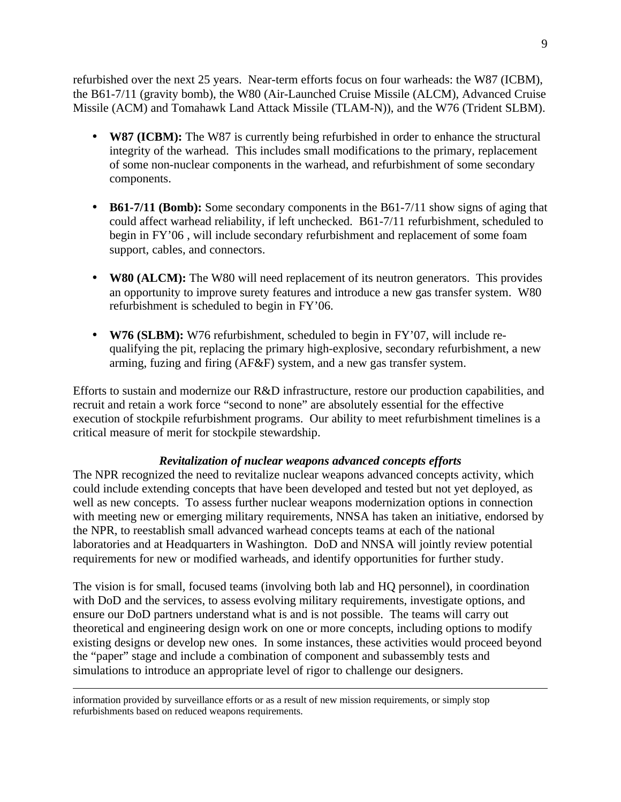refurbished over the next 25 years. Near-term efforts focus on four warheads: the W87 (ICBM), the B61-7/11 (gravity bomb), the W80 (Air-Launched Cruise Missile (ALCM), Advanced Cruise Missile (ACM) and Tomahawk Land Attack Missile (TLAM-N)), and the W76 (Trident SLBM).

- **W87 (ICBM):** The W87 is currently being refurbished in order to enhance the structural integrity of the warhead. This includes small modifications to the primary, replacement of some non-nuclear components in the warhead, and refurbishment of some secondary components.
- **B61-7/11 (Bomb):** Some secondary components in the B61-7/11 show signs of aging that could affect warhead reliability, if left unchecked. B61-7/11 refurbishment, scheduled to begin in FY'06 , will include secondary refurbishment and replacement of some foam support, cables, and connectors.
- W80 (ALCM): The W80 will need replacement of its neutron generators. This provides an opportunity to improve surety features and introduce a new gas transfer system. W80 refurbishment is scheduled to begin in FY'06.
- **W76 (SLBM):** W76 refurbishment, scheduled to begin in FY'07, will include requalifying the pit, replacing the primary high-explosive, secondary refurbishment, a new arming, fuzing and firing (AF&F) system, and a new gas transfer system.

Efforts to sustain and modernize our R&D infrastructure, restore our production capabilities, and recruit and retain a work force "second to none" are absolutely essential for the effective execution of stockpile refurbishment programs. Our ability to meet refurbishment timelines is a critical measure of merit for stockpile stewardship.

### *Revitalization of nuclear weapons advanced concepts efforts*

The NPR recognized the need to revitalize nuclear weapons advanced concepts activity, which could include extending concepts that have been developed and tested but not yet deployed, as well as new concepts. To assess further nuclear weapons modernization options in connection with meeting new or emerging military requirements, NNSA has taken an initiative, endorsed by the NPR, to reestablish small advanced warhead concepts teams at each of the national laboratories and at Headquarters in Washington. DoD and NNSA will jointly review potential requirements for new or modified warheads, and identify opportunities for further study.

The vision is for small, focused teams (involving both lab and HQ personnel), in coordination with DoD and the services, to assess evolving military requirements, investigate options, and ensure our DoD partners understand what is and is not possible. The teams will carry out theoretical and engineering design work on one or more concepts, including options to modify existing designs or develop new ones. In some instances, these activities would proceed beyond the "paper" stage and include a combination of component and subassembly tests and simulations to introduce an appropriate level of rigor to challenge our designers.

information provided by surveillance efforts or as a result of new mission requirements, or simply stop refurbishments based on reduced weapons requirements.

 $\overline{a}$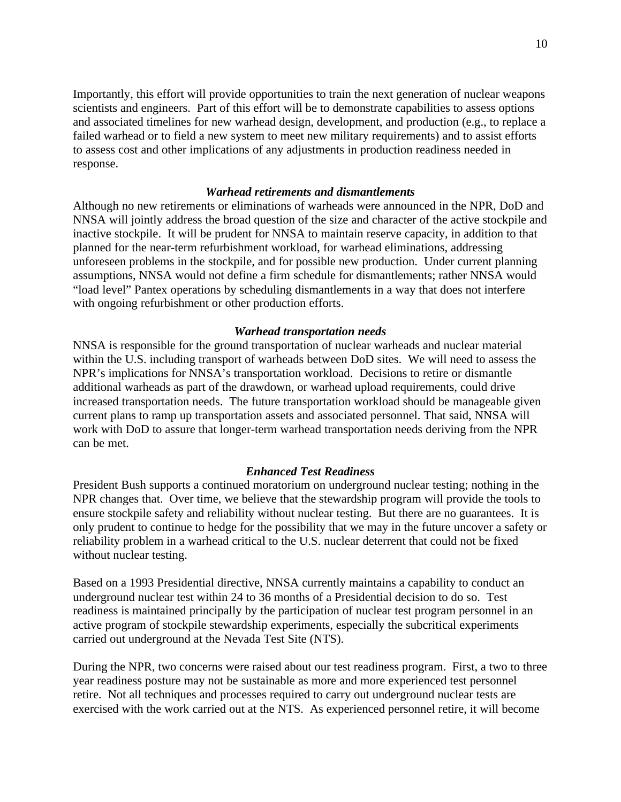Importantly, this effort will provide opportunities to train the next generation of nuclear weapons scientists and engineers. Part of this effort will be to demonstrate capabilities to assess options and associated timelines for new warhead design, development, and production (e.g., to replace a failed warhead or to field a new system to meet new military requirements) and to assist efforts to assess cost and other implications of any adjustments in production readiness needed in response.

#### *Warhead retirements and dismantlements*

Although no new retirements or eliminations of warheads were announced in the NPR, DoD and NNSA will jointly address the broad question of the size and character of the active stockpile and inactive stockpile. It will be prudent for NNSA to maintain reserve capacity, in addition to that planned for the near-term refurbishment workload, for warhead eliminations, addressing unforeseen problems in the stockpile, and for possible new production. Under current planning assumptions, NNSA would not define a firm schedule for dismantlements; rather NNSA would "load level" Pantex operations by scheduling dismantlements in a way that does not interfere with ongoing refurbishment or other production efforts.

#### *Warhead transportation needs*

NNSA is responsible for the ground transportation of nuclear warheads and nuclear material within the U.S. including transport of warheads between DoD sites. We will need to assess the NPR's implications for NNSA's transportation workload. Decisions to retire or dismantle additional warheads as part of the drawdown, or warhead upload requirements, could drive increased transportation needs. The future transportation workload should be manageable given current plans to ramp up transportation assets and associated personnel. That said, NNSA will work with DoD to assure that longer-term warhead transportation needs deriving from the NPR can be met.

#### *Enhanced Test Readiness*

President Bush supports a continued moratorium on underground nuclear testing; nothing in the NPR changes that. Over time, we believe that the stewardship program will provide the tools to ensure stockpile safety and reliability without nuclear testing. But there are no guarantees. It is only prudent to continue to hedge for the possibility that we may in the future uncover a safety or reliability problem in a warhead critical to the U.S. nuclear deterrent that could not be fixed without nuclear testing.

Based on a 1993 Presidential directive, NNSA currently maintains a capability to conduct an underground nuclear test within 24 to 36 months of a Presidential decision to do so. Test readiness is maintained principally by the participation of nuclear test program personnel in an active program of stockpile stewardship experiments, especially the subcritical experiments carried out underground at the Nevada Test Site (NTS).

During the NPR, two concerns were raised about our test readiness program. First, a two to three year readiness posture may not be sustainable as more and more experienced test personnel retire. Not all techniques and processes required to carry out underground nuclear tests are exercised with the work carried out at the NTS. As experienced personnel retire, it will become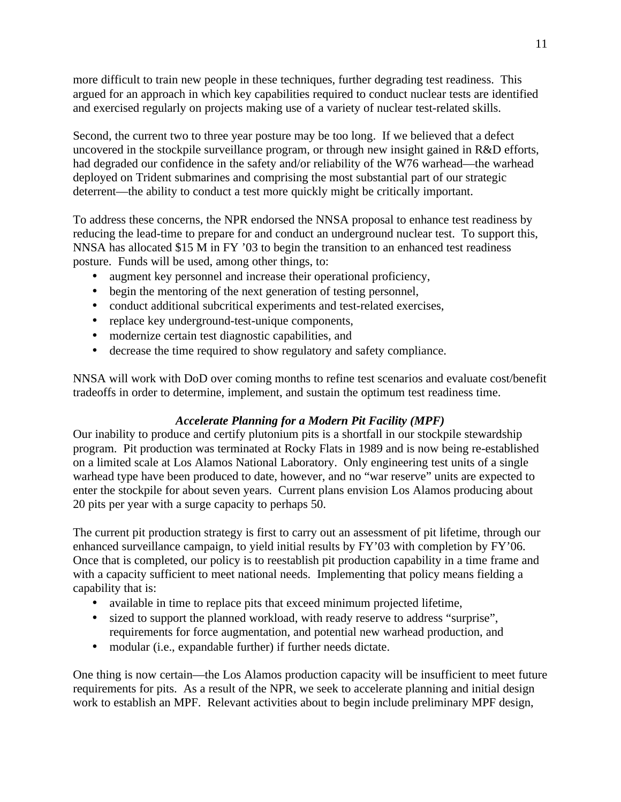more difficult to train new people in these techniques, further degrading test readiness. This argued for an approach in which key capabilities required to conduct nuclear tests are identified and exercised regularly on projects making use of a variety of nuclear test-related skills.

Second, the current two to three year posture may be too long. If we believed that a defect uncovered in the stockpile surveillance program, or through new insight gained in R&D efforts, had degraded our confidence in the safety and/or reliability of the W76 warhead—the warhead deployed on Trident submarines and comprising the most substantial part of our strategic deterrent—the ability to conduct a test more quickly might be critically important.

To address these concerns, the NPR endorsed the NNSA proposal to enhance test readiness by reducing the lead-time to prepare for and conduct an underground nuclear test. To support this, NNSA has allocated \$15 M in FY '03 to begin the transition to an enhanced test readiness posture. Funds will be used, among other things, to:

- augment key personnel and increase their operational proficiency,
- begin the mentoring of the next generation of testing personnel,
- conduct additional subcritical experiments and test-related exercises,
- replace key underground-test-unique components,
- modernize certain test diagnostic capabilities, and
- decrease the time required to show regulatory and safety compliance.

NNSA will work with DoD over coming months to refine test scenarios and evaluate cost/benefit tradeoffs in order to determine, implement, and sustain the optimum test readiness time.

## *Accelerate Planning for a Modern Pit Facility (MPF)*

Our inability to produce and certify plutonium pits is a shortfall in our stockpile stewardship program. Pit production was terminated at Rocky Flats in 1989 and is now being re-established on a limited scale at Los Alamos National Laboratory. Only engineering test units of a single warhead type have been produced to date, however, and no "war reserve" units are expected to enter the stockpile for about seven years. Current plans envision Los Alamos producing about 20 pits per year with a surge capacity to perhaps 50.

The current pit production strategy is first to carry out an assessment of pit lifetime, through our enhanced surveillance campaign, to yield initial results by FY'03 with completion by FY'06. Once that is completed, our policy is to reestablish pit production capability in a time frame and with a capacity sufficient to meet national needs. Implementing that policy means fielding a capability that is:

- available in time to replace pits that exceed minimum projected lifetime,
- sized to support the planned workload, with ready reserve to address "surprise", requirements for force augmentation, and potential new warhead production, and
- modular (i.e., expandable further) if further needs dictate.

One thing is now certain—the Los Alamos production capacity will be insufficient to meet future requirements for pits. As a result of the NPR, we seek to accelerate planning and initial design work to establish an MPF. Relevant activities about to begin include preliminary MPF design,